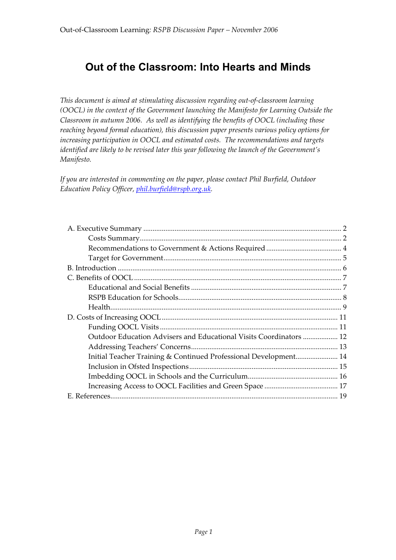# **Out of the Classroom: Into Hearts and Minds**

*This document is aimed at stimulating discussion regarding out-of-classroom learning (OOCL) in the context of the Government launching the Manifesto for Learning Outside the Classroom in autumn 2006. As well as identifying the benefits of OOCL (including those reaching beyond formal education), this discussion paper presents various policy options for increasing participation in OOCL and estimated costs. The recommendations and targets identified are likely to be revised later this year following the launch of the Government's Manifesto.*

*If you are interested in commenting on the paper, please contact Phil Burfield, Outdoor Education Policy Officer, phil.burfield@rspb.org.uk.*

| Outdoor Education Advisers and Educational Visits Coordinators  12 |  |
|--------------------------------------------------------------------|--|
|                                                                    |  |
| Initial Teacher Training & Continued Professional Development 14   |  |
|                                                                    |  |
|                                                                    |  |
|                                                                    |  |
|                                                                    |  |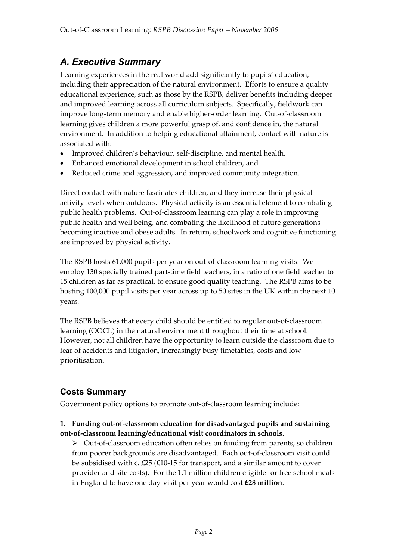# *A. Executive Summary*

Learning experiences in the real world add significantly to pupils' education, including their appreciation of the natural environment. Efforts to ensure a quality educational experience, such as those by the RSPB, deliver benefits including deeper and improved learning across all curriculum subjects. Specifically, fieldwork can improve long-term memory and enable higher-order learning. Out-of-classroom learning gives children a more powerful grasp of, and confidence in, the natural environment. In addition to helping educational attainment, contact with nature is associated with:

- Improved children's behaviour, self-discipline, and mental health,
- Enhanced emotional development in school children, and
- Reduced crime and aggression, and improved community integration.

Direct contact with nature fascinates children, and they increase their physical activity levels when outdoors. Physical activity is an essential element to combating public health problems. Out-of-classroom learning can play a role in improving public health and well being, and combating the likelihood of future generations becoming inactive and obese adults. In return, schoolwork and cognitive functioning are improved by physical activity.

The RSPB hosts 61,000 pupils per year on out-of-classroom learning visits. We employ 130 specially trained part-time field teachers, in a ratio of one field teacher to 15 children as far as practical, to ensure good quality teaching. The RSPB aims to be hosting 100,000 pupil visits per year across up to 50 sites in the UK within the next 10 years.

The RSPB believes that every child should be entitled to regular out-of-classroom learning (OOCL) in the natural environment throughout their time at school. However, not all children have the opportunity to learn outside the classroom due to fear of accidents and litigation, increasingly busy timetables, costs and low prioritisation.

# **Costs Summary**

Government policy options to promote out-of-classroom learning include:

#### **1. Funding out-of-classroom education for disadvantaged pupils and sustaining out-of-classroom learning/educational visit coordinators in schools.**

 $\triangleright$  Out-of-classroom education often relies on funding from parents, so children from poorer backgrounds are disadvantaged. Each out-of-classroom visit could be subsidised with c. £25 (£10-15 for transport, and a similar amount to cover provider and site costs). For the 1.1 million children eligible for free school meals in England to have one day-visit per year would cost **£28 million**.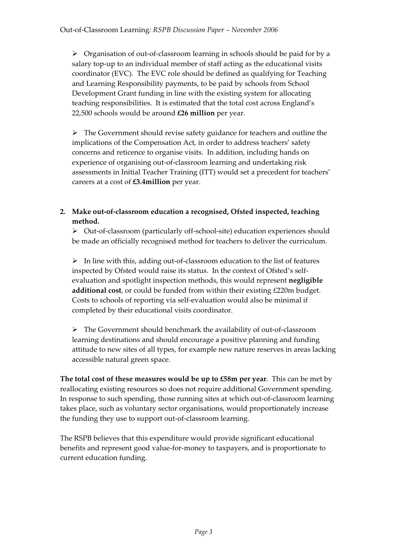$\triangleright$  Organisation of out-of-classroom learning in schools should be paid for by a salary top-up to an individual member of staff acting as the educational visits coordinator (EVC). The EVC role should be defined as qualifying for Teaching and Learning Responsibility payments, to be paid by schools from School Development Grant funding in line with the existing system for allocating teaching responsibilities. It is estimated that the total cost across England's 22,500 schools would be around **£26 million** per year.

 $\triangleright$  The Government should revise safety guidance for teachers and outline the implications of the Compensation Act, in order to address teachers' safety concerns and reticence to organise visits. In addition, including hands on experience of organising out-of-classroom learning and undertaking risk assessments in Initial Teacher Training (ITT) would set a precedent for teachers' careers at a cost of **£3.4million** per year.

#### **2. Make out-of-classroom education a recognised, Ofsted inspected, teaching method.**

¾Out-of-classroom (particularly off-school-site) education experiences should be made an officially recognised method for teachers to deliver the curriculum.

 $\triangleright$  In line with this, adding out-of-classroom education to the list of features inspected by Ofsted would raise its status. In the context of Ofsted's selfevaluation and spotlight inspection methods, this would represent **negligible additional cost**, or could be funded from within their existing £220m budget. Costs to schools of reporting via self-evaluation would also be minimal if completed by their educational visits coordinator.

 $\triangleright$  The Government should benchmark the availability of out-of-classroom learning destinations and should encourage a positive planning and funding attitude to new sites of all types, for example new nature reserves in areas lacking accessible natural green space.

**The total cost of these measures would be up to £58m per year**. This can be met by reallocating existing resources so does not require additional Government spending. In response to such spending, those running sites at which out-of-classroom learning takes place, such as voluntary sector organisations, would proportionately increase the funding they use to support out-of-classroom learning.

The RSPB believes that this expenditure would provide significant educational benefits and represent good value-for-money to taxpayers, and is proportionate to current education funding.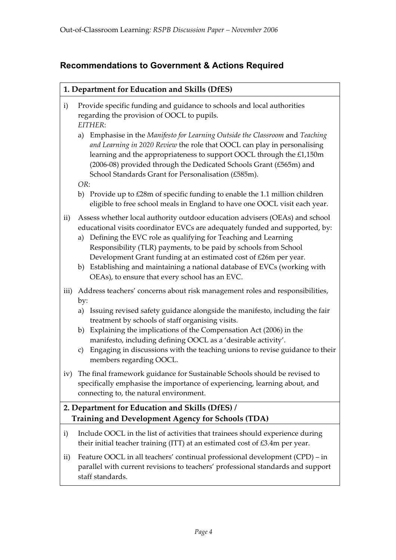# **Recommendations to Government & Actions Required**

| 1. Department for Education and Skills (DfES)                                                               |                                                                                                                                                                                                                                                                                                                                                                                                                                                                                                           |  |
|-------------------------------------------------------------------------------------------------------------|-----------------------------------------------------------------------------------------------------------------------------------------------------------------------------------------------------------------------------------------------------------------------------------------------------------------------------------------------------------------------------------------------------------------------------------------------------------------------------------------------------------|--|
| $\mathbf{i}$                                                                                                | Provide specific funding and guidance to schools and local authorities<br>regarding the provision of OOCL to pupils.<br>EITHER:                                                                                                                                                                                                                                                                                                                                                                           |  |
|                                                                                                             | Emphasise in the Manifesto for Learning Outside the Classroom and Teaching<br>a)<br>and Learning in 2020 Review the role that OOCL can play in personalising<br>learning and the appropriateness to support OOCL through the £1,150m<br>(2006-08) provided through the Dedicated Schools Grant (£565m) and<br>School Standards Grant for Personalisation (£585m).                                                                                                                                         |  |
|                                                                                                             | OR:                                                                                                                                                                                                                                                                                                                                                                                                                                                                                                       |  |
|                                                                                                             | b) Provide up to £28m of specific funding to enable the 1.1 million children<br>eligible to free school meals in England to have one OOCL visit each year.                                                                                                                                                                                                                                                                                                                                                |  |
| $\rm ii)$                                                                                                   | Assess whether local authority outdoor education advisers (OEAs) and school<br>educational visits coordinator EVCs are adequately funded and supported, by:<br>Defining the EVC role as qualifying for Teaching and Learning<br>a)<br>Responsibility (TLR) payments, to be paid by schools from School<br>Development Grant funding at an estimated cost of £26m per year.<br>b) Establishing and maintaining a national database of EVCs (working with<br>OEAs), to ensure that every school has an EVC. |  |
| iii)                                                                                                        | Address teachers' concerns about risk management roles and responsibilities,<br>by:                                                                                                                                                                                                                                                                                                                                                                                                                       |  |
|                                                                                                             | Issuing revised safety guidance alongside the manifesto, including the fair<br>a)<br>treatment by schools of staff organising visits.<br>b) Explaining the implications of the Compensation Act (2006) in the<br>manifesto, including defining OOCL as a 'desirable activity'.<br>Engaging in discussions with the teaching unions to revise guidance to their<br>c)<br>members regarding OOCL.                                                                                                           |  |
| iv)                                                                                                         | The final framework guidance for Sustainable Schools should be revised to<br>specifically emphasise the importance of experiencing, learning about, and<br>connecting to, the natural environment.                                                                                                                                                                                                                                                                                                        |  |
| 2. Department for Education and Skills (DfES) /<br><b>Training and Development Agency for Schools (TDA)</b> |                                                                                                                                                                                                                                                                                                                                                                                                                                                                                                           |  |
| $\mathbf{i}$                                                                                                | Include OOCL in the list of activities that trainees should experience during<br>their initial teacher training (ITT) at an estimated cost of £3.4m per year.                                                                                                                                                                                                                                                                                                                                             |  |
| $\rm ii)$                                                                                                   | Feature OOCL in all teachers' continual professional development (CPD) – in<br>parallel with current revisions to teachers' professional standards and support<br>staff standards.                                                                                                                                                                                                                                                                                                                        |  |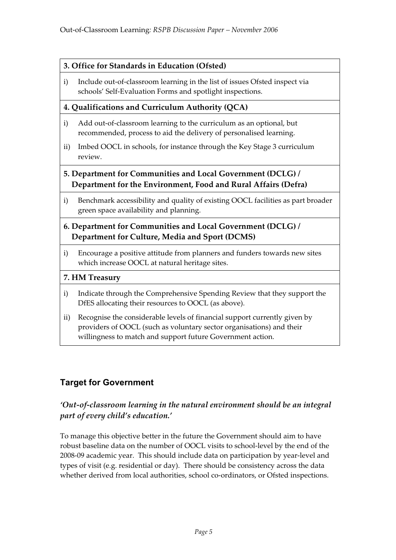### **3. Office for Standards in Education (Ofsted)**

i) Include out-of-classroom learning in the list of issues Ofsted inspect via schools' Self-Evaluation Forms and spotlight inspections.

### **4. Qualifications and Curriculum Authority (QCA)**

- i) Add out-of-classroom learning to the curriculum as an optional, but recommended, process to aid the delivery of personalised learning.
- ii) Imbed OOCL in schools, for instance through the Key Stage 3 curriculum review.

### **5. Department for Communities and Local Government (DCLG) / Department for the Environment, Food and Rural Affairs (Defra)**

i) Benchmark accessibility and quality of existing OOCL facilities as part broader green space availability and planning.

### **6. Department for Communities and Local Government (DCLG) / Department for Culture, Media and Sport (DCMS)**

i) Encourage a positive attitude from planners and funders towards new sites which increase OOCL at natural heritage sites.

### **7. HM Treasury**

- i) Indicate through the Comprehensive Spending Review that they support the DfES allocating their resources to OOCL (as above).
- ii) Recognise the considerable levels of financial support currently given by providers of OOCL (such as voluntary sector organisations) and their willingness to match and support future Government action.

# **Target for Government**

## *'Out-of-classroom learning in the natural environment should be an integral part of every child's education.'*

To manage this objective better in the future the Government should aim to have robust baseline data on the number of OOCL visits to school-level by the end of the 2008-09 academic year. This should include data on participation by year-level and types of visit (e.g. residential or day). There should be consistency across the data whether derived from local authorities, school co-ordinators, or Ofsted inspections.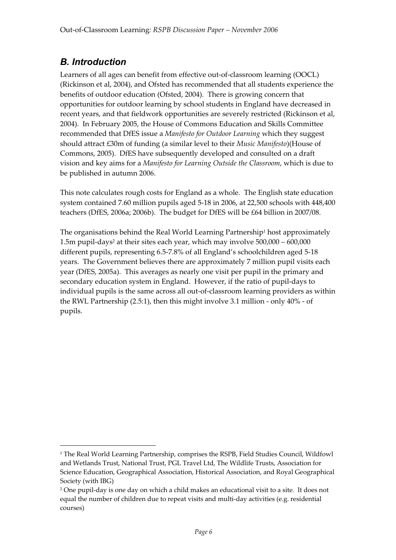# *B. Introduction*

-

Learners of all ages can benefit from effective out-of-classroom learning (OOCL) (Rickinson et al, 2004), and Ofsted has recommended that all students experience the benefits of outdoor education (Ofsted, 2004). There is growing concern that opportunities for outdoor learning by school students in England have decreased in recent years, and that fieldwork opportunities are severely restricted (Rickinson et al, 2004). In February 2005, the House of Commons Education and Skills Committee recommended that DfES issue a *Manifesto for Outdoor Learning* which they suggest should attract £30m of funding (a similar level to their *Music Manifesto*)(House of Commons, 2005). DfES have subsequently developed and consulted on a draft vision and key aims for a *Manifesto for Learning Outside the Classroom*, which is due to be published in autumn 2006.

This note calculates rough costs for England as a whole. The English state education system contained 7.60 million pupils aged 5-18 in 2006, at 22,500 schools with 448,400 teachers (DfES, 2006a; 2006b). The budget for DfES will be £64 billion in 2007/08.

The organisations behind the Real World Learning Partnership<sup>1</sup> host approximately 1.5m pupil-days2 at their sites each year, which may involve 500,000 – 600,000 different pupils, representing 6.5-7.8% of all England's schoolchildren aged 5-18 years. The Government believes there are approximately 7 million pupil visits each year (DfES, 2005a). This averages as nearly one visit per pupil in the primary and secondary education system in England. However, if the ratio of pupil-days to individual pupils is the same across all out-of-classroom learning providers as within the RWL Partnership (2.5:1), then this might involve 3.1 million - only 40% - of pupils.

<sup>&</sup>lt;sup>1</sup> The Real World Learning Partnership, comprises the RSPB, Field Studies Council, Wildfowl and Wetlands Trust, National Trust, PGL Travel Ltd, The Wildlife Trusts, Association for Science Education, Geographical Association, Historical Association, and Royal Geographical Society (with IBG)

<sup>2</sup> One pupil-day is one day on which a child makes an educational visit to a site. It does not equal the number of children due to repeat visits and multi-day activities (e.g. residential courses)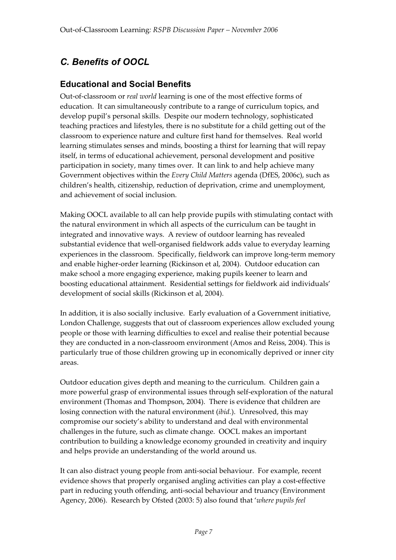# *C. Benefits of OOCL*

# **Educational and Social Benefits**

Out-of-classroom or *real world* learning is one of the most effective forms of education. It can simultaneously contribute to a range of curriculum topics, and develop pupil's personal skills. Despite our modern technology, sophisticated teaching practices and lifestyles, there is no substitute for a child getting out of the classroom to experience nature and culture first hand for themselves. Real world learning stimulates senses and minds, boosting a thirst for learning that will repay itself, in terms of educational achievement, personal development and positive participation in society, many times over. It can link to and help achieve many Government objectives within the *Every Child Matters* agenda (DfES, 2006c), such as children's health, citizenship, reduction of deprivation, crime and unemployment, and achievement of social inclusion.

Making OOCL available to all can help provide pupils with stimulating contact with the natural environment in which all aspects of the curriculum can be taught in integrated and innovative ways. A review of outdoor learning has revealed substantial evidence that well-organised fieldwork adds value to everyday learning experiences in the classroom. Specifically, fieldwork can improve long-term memory and enable higher-order learning (Rickinson et al, 2004). Outdoor education can make school a more engaging experience, making pupils keener to learn and boosting educational attainment. Residential settings for fieldwork aid individuals' development of social skills (Rickinson et al, 2004).

In addition, it is also socially inclusive. Early evaluation of a Government initiative, London Challenge, suggests that out of classroom experiences allow excluded young people or those with learning difficulties to excel and realise their potential because they are conducted in a non-classroom environment (Amos and Reiss, 2004). This is particularly true of those children growing up in economically deprived or inner city areas.

Outdoor education gives depth and meaning to the curriculum. Children gain a more powerful grasp of environmental issues through self-exploration of the natural environment (Thomas and Thompson, 2004). There is evidence that children are losing connection with the natural environment (*ibid.*). Unresolved, this may compromise our society's ability to understand and deal with environmental challenges in the future, such as climate change. OOCL makes an important contribution to building a knowledge economy grounded in creativity and inquiry and helps provide an understanding of the world around us.

It can also distract young people from anti-social behaviour. For example, recent evidence shows that properly organised angling activities can play a cost-effective part in reducing youth offending, anti-social behaviour and truancy (Environment Agency, 2006). Research by Ofsted (2003: 5) also found that '*where pupils feel*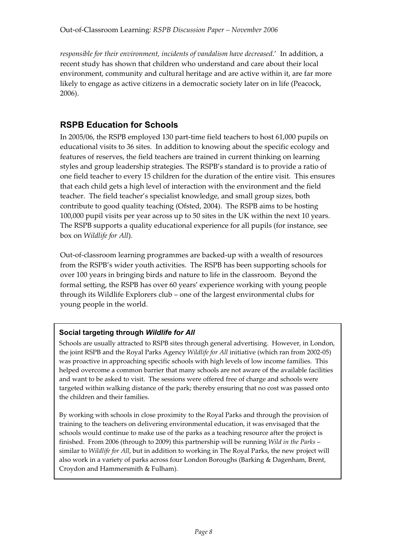*responsible for their environment, incidents of vandalism have decreased*.' In addition, a recent study has shown that children who understand and care about their local environment, community and cultural heritage and are active within it, are far more likely to engage as active citizens in a democratic society later on in life (Peacock, 2006).

## **RSPB Education for Schools**

In 2005/06, the RSPB employed 130 part-time field teachers to host 61,000 pupils on educational visits to 36 sites. In addition to knowing about the specific ecology and features of reserves, the field teachers are trained in current thinking on learning styles and group leadership strategies. The RSPB's standard is to provide a ratio of one field teacher to every 15 children for the duration of the entire visit. This ensures that each child gets a high level of interaction with the environment and the field teacher. The field teacher's specialist knowledge, and small group sizes, both contribute to good quality teaching (Ofsted, 2004). The RSPB aims to be hosting 100,000 pupil visits per year across up to 50 sites in the UK within the next 10 years. The RSPB supports a quality educational experience for all pupils (for instance, see box on *Wildlife for All*).

Out-of-classroom learning programmes are backed-up with a wealth of resources from the RSPB's wider youth activities. The RSPB has been supporting schools for over 100 years in bringing birds and nature to life in the classroom. Beyond the formal setting, the RSPB has over 60 years' experience working with young people through its Wildlife Explorers club – one of the largest environmental clubs for young people in the world.

### **Social targeting through** *Wildlife for All*

Schools are usually attracted to RSPB sites through general advertising. However, in London, the joint RSPB and the Royal Parks Agency *Wildlife for All* initiative (which ran from 2002-05) was proactive in approaching specific schools with high levels of low income families. This helped overcome a common barrier that many schools are not aware of the available facilities and want to be asked to visit. The sessions were offered free of charge and schools were targeted within walking distance of the park; thereby ensuring that no cost was passed onto the children and their families.

By working with schools in close proximity to the Royal Parks and through the provision of training to the teachers on delivering environmental education, it was envisaged that the schools would continue to make use of the parks as a teaching resource after the project is finished. From 2006 (through to 2009) this partnership will be running *Wild in the Parks* – similar to *Wildlife for All*, but in addition to working in The Royal Parks, the new project will also work in a variety of parks across four London Boroughs (Barking & Dagenham, Brent, Croydon and Hammersmith & Fulham).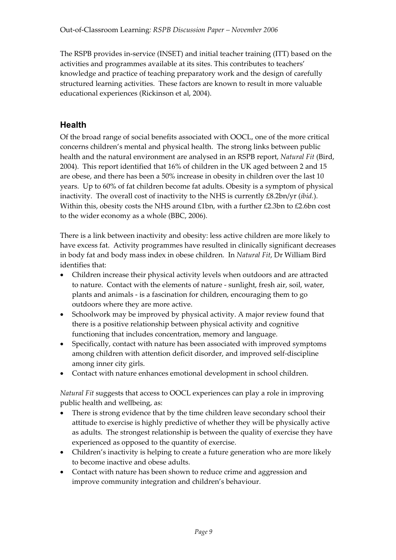The RSPB provides in-service (INSET) and initial teacher training (ITT) based on the activities and programmes available at its sites. This contributes to teachers' knowledge and practice of teaching preparatory work and the design of carefully structured learning activities. These factors are known to result in more valuable educational experiences (Rickinson et al, 2004).

## **Health**

Of the broad range of social benefits associated with OOCL, one of the more critical concerns children's mental and physical health. The strong links between public health and the natural environment are analysed in an RSPB report, *Natural Fit* (Bird, 2004). This report identified that 16% of children in the UK aged between 2 and 15 are obese, and there has been a 50% increase in obesity in children over the last 10 years. Up to 60% of fat children become fat adults. Obesity is a symptom of physical inactivity. The overall cost of inactivity to the NHS is currently £8.2bn/yr (*ibid.*). Within this, obesity costs the NHS around  $£1$ bn, with a further  $£2.3$ bn to  $£2.6$ bn cost to the wider economy as a whole (BBC, 2006).

There is a link between inactivity and obesity: less active children are more likely to have excess fat. Activity programmes have resulted in clinically significant decreases in body fat and body mass index in obese children. In *Natural Fit*, Dr William Bird identifies that:

- Children increase their physical activity levels when outdoors and are attracted to nature. Contact with the elements of nature - sunlight, fresh air, soil, water, plants and animals - is a fascination for children, encouraging them to go outdoors where they are more active.
- Schoolwork may be improved by physical activity. A major review found that there is a positive relationship between physical activity and cognitive functioning that includes concentration, memory and language.
- Specifically, contact with nature has been associated with improved symptoms among children with attention deficit disorder, and improved self-discipline among inner city girls.
- Contact with nature enhances emotional development in school children.

*Natural Fit* suggests that access to OOCL experiences can play a role in improving public health and wellbeing, as:

- There is strong evidence that by the time children leave secondary school their attitude to exercise is highly predictive of whether they will be physically active as adults. The strongest relationship is between the quality of exercise they have experienced as opposed to the quantity of exercise.
- Children's inactivity is helping to create a future generation who are more likely to become inactive and obese adults.
- Contact with nature has been shown to reduce crime and aggression and improve community integration and children's behaviour.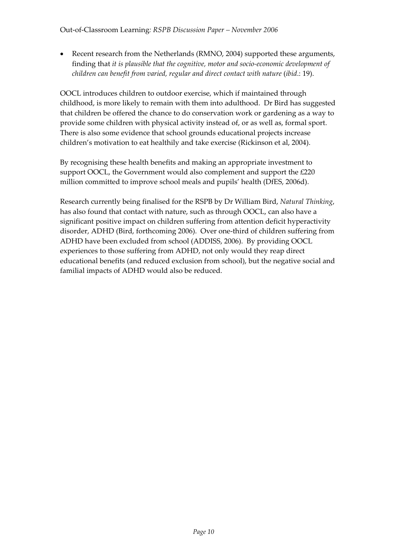• Recent research from the Netherlands (RMNO, 2004) supported these arguments, finding that *it is plausible that the cognitive, motor and socio-economic development of children can benefit from varied, regular and direct contact with nature* (*ibid*.: 19).

OOCL introduces children to outdoor exercise, which if maintained through childhood, is more likely to remain with them into adulthood. Dr Bird has suggested that children be offered the chance to do conservation work or gardening as a way to provide some children with physical activity instead of, or as well as, formal sport. There is also some evidence that school grounds educational projects increase children's motivation to eat healthily and take exercise (Rickinson et al, 2004).

By recognising these health benefits and making an appropriate investment to support OOCL, the Government would also complement and support the £220 million committed to improve school meals and pupils' health (DfES, 2006d).

Research currently being finalised for the RSPB by Dr William Bird, *Natural Thinking*, has also found that contact with nature, such as through OOCL, can also have a significant positive impact on children suffering from attention deficit hyperactivity disorder, ADHD (Bird, forthcoming 2006). Over one-third of children suffering from ADHD have been excluded from school (ADDISS, 2006). By providing OOCL experiences to those suffering from ADHD, not only would they reap direct educational benefits (and reduced exclusion from school), but the negative social and familial impacts of ADHD would also be reduced.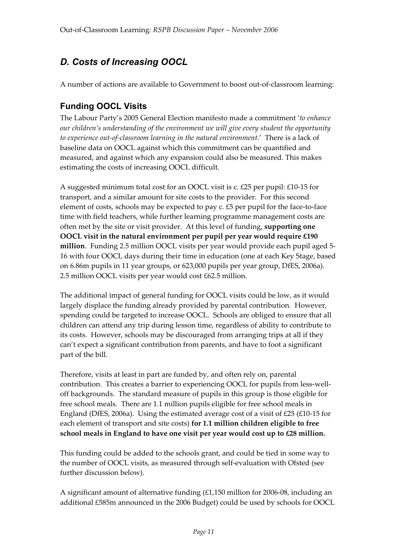# *D. Costs of Increasing OOCL*

A number of actions are available to Government to boost out-of-classroom learning:

# **Funding OOCL Visits**

The Labour Party's 2005 General Election manifesto made a commitment '*to enhance our children's understanding of the environment we will give every student the opportunity to experience out-of-classroom learning in the natural environment*.' There is a lack of baseline data on OOCL against which this commitment can be quantified and measured, and against which any expansion could also be measured. This makes estimating the costs of increasing OOCL difficult.

A suggested minimum total cost for an OOCL visit is c. £25 per pupil: £10-15 for transport, and a similar amount for site costs to the provider. For this second element of costs, schools may be expected to pay c. £5 per pupil for the face-to-face time with field teachers, while further learning programme management costs are often met by the site or visit provider. At this level of funding, **supporting one OOCL visit in the natural environment per pupil per year would require £190 million**. Funding 2.5 million OOCL visits per year would provide each pupil aged 5- 16 with four OOCL days during their time in education (one at each Key Stage, based on 6.86m pupils in 11 year groups, or 623,000 pupils per year group, DfES, 2006a). 2.5 million OOCL visits per year would cost £62.5 million.

The additional impact of general funding for OOCL visits could be low, as it would largely displace the funding already provided by parental contribution. However, spending could be targeted to increase OOCL. Schools are obliged to ensure that all children can attend any trip during lesson time, regardless of ability to contribute to its costs. However, schools may be discouraged from arranging trips at all if they can't expect a significant contribution from parents, and have to foot a significant part of the bill.

Therefore, visits at least in part are funded by, and often rely on, parental contribution. This creates a barrier to experiencing OOCL for pupils from less-welloff backgrounds. The standard measure of pupils in this group is those eligible for free school meals. There are 1.1 million pupils eligible for free school meals in England (DfES, 2006a). Using the estimated average cost of a visit of  $E25$  (£10-15 for each element of transport and site costs) **for 1.1 million children eligible to free school meals in England to have one visit per year would cost up to £28 million.** 

This funding could be added to the schools grant, and could be tied in some way to the number of OOCL visits, as measured through self-evaluation with Ofsted (see further discussion below).

A significant amount of alternative funding (£1,150 million for 2006-08, including an additional £585m announced in the 2006 Budget) could be used by schools for OOCL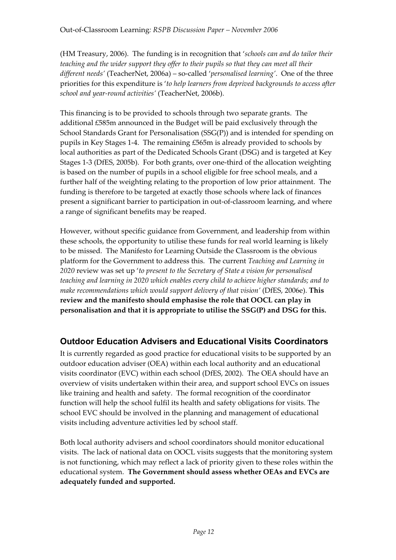(HM Treasury, 2006). The funding is in recognition that '*schools can and do tailor their teaching and the wider support they offer to their pupils so that they can meet all their different needs'* (TeacherNet, 2006a) – so-called '*personalised learning'*. One of the three priorities for this expenditure is '*to help learners from deprived backgrounds to access after school and year-round activities'* (TeacherNet, 2006b).

This financing is to be provided to schools through two separate grants. The additional £585m announced in the Budget will be paid exclusively through the School Standards Grant for Personalisation (SSG(P)) and is intended for spending on pupils in Key Stages 1-4. The remaining £565m is already provided to schools by local authorities as part of the Dedicated Schools Grant (DSG) and is targeted at Key Stages 1-3 (DfES, 2005b). For both grants, over one-third of the allocation weighting is based on the number of pupils in a school eligible for free school meals, and a further half of the weighting relating to the proportion of low prior attainment. The funding is therefore to be targeted at exactly those schools where lack of finances present a significant barrier to participation in out-of-classroom learning, and where a range of significant benefits may be reaped.

However, without specific guidance from Government, and leadership from within these schools, the opportunity to utilise these funds for real world learning is likely to be missed. The Manifesto for Learning Outside the Classroom is the obvious platform for the Government to address this. The current *Teaching and Learning in 2020* review was set up '*to present to the Secretary of State a vision for personalised teaching and learning in 2020 which enables every child to achieve higher standards; and to make recommendations which would support delivery of that vision'* (DfES, 2006e). **This review and the manifesto should emphasise the role that OOCL can play in personalisation and that it is appropriate to utilise the SSG(P) and DSG for this.** 

# **Outdoor Education Advisers and Educational Visits Coordinators**

It is currently regarded as good practice for educational visits to be supported by an outdoor education adviser (OEA) within each local authority and an educational visits coordinator (EVC) within each school (DfES, 2002). The OEA should have an overview of visits undertaken within their area, and support school EVCs on issues like training and health and safety. The formal recognition of the coordinator function will help the school fulfil its health and safety obligations for visits. The school EVC should be involved in the planning and management of educational visits including adventure activities led by school staff.

Both local authority advisers and school coordinators should monitor educational visits. The lack of national data on OOCL visits suggests that the monitoring system is not functioning, which may reflect a lack of priority given to these roles within the educational system. **The Government should assess whether OEAs and EVCs are adequately funded and supported.**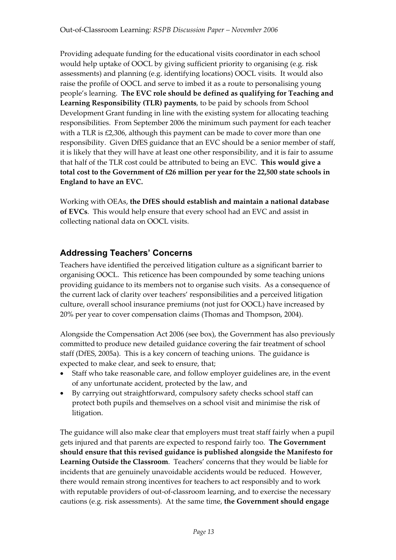Providing adequate funding for the educational visits coordinator in each school would help uptake of OOCL by giving sufficient priority to organising (e.g. risk assessments) and planning (e.g. identifying locations) OOCL visits. It would also raise the profile of OOCL and serve to imbed it as a route to personalising young people's learning. **The EVC role should be defined as qualifying for Teaching and Learning Responsibility (TLR) payments**, to be paid by schools from School Development Grant funding in line with the existing system for allocating teaching responsibilities. From September 2006 the minimum such payment for each teacher with a TLR is £2,306, although this payment can be made to cover more than one responsibility. Given DfES guidance that an EVC should be a senior member of staff, it is likely that they will have at least one other responsibility, and it is fair to assume that half of the TLR cost could be attributed to being an EVC. **This would give a total cost to the Government of £26 million per year for the 22,500 state schools in England to have an EVC.**

Working with OEAs, **the DfES should establish and maintain a national database of EVCs**. This would help ensure that every school had an EVC and assist in collecting national data on OOCL visits.

## **Addressing Teachers' Concerns**

Teachers have identified the perceived litigation culture as a significant barrier to organising OOCL. This reticence has been compounded by some teaching unions providing guidance to its members not to organise such visits. As a consequence of the current lack of clarity over teachers' responsibilities and a perceived litigation culture, overall school insurance premiums (not just for OOCL) have increased by 20% per year to cover compensation claims (Thomas and Thompson, 2004).

Alongside the Compensation Act 2006 (see box), the Government has also previously committed to produce new detailed guidance covering the fair treatment of school staff (DfES, 2005a). This is a key concern of teaching unions. The guidance is expected to make clear, and seek to ensure, that;

- Staff who take reasonable care, and follow employer guidelines are, in the event of any unfortunate accident, protected by the law, and
- By carrying out straightforward, compulsory safety checks school staff can protect both pupils and themselves on a school visit and minimise the risk of litigation.

The guidance will also make clear that employers must treat staff fairly when a pupil gets injured and that parents are expected to respond fairly too. **The Government should ensure that this revised guidance is published alongside the Manifesto for Learning Outside the Classroom**. Teachers' concerns that they would be liable for incidents that are genuinely unavoidable accidents would be reduced. However, there would remain strong incentives for teachers to act responsibly and to work with reputable providers of out-of-classroom learning, and to exercise the necessary cautions (e.g. risk assessments). At the same time, **the Government should engage**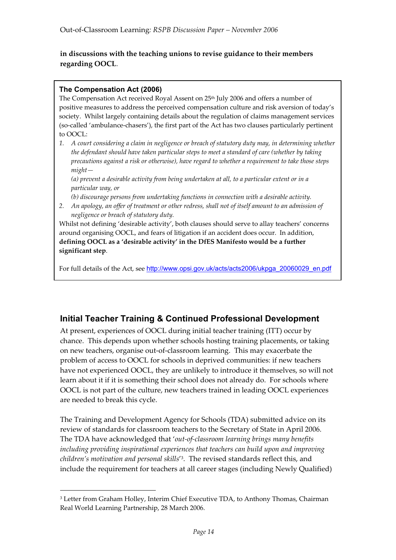#### **in discussions with the teaching unions to revise guidance to their members regarding OOCL**.

#### **The Compensation Act (2006)**

-

The Compensation Act received Royal Assent on 25<sup>th</sup> July 2006 and offers a number of positive measures to address the perceived compensation culture and risk aversion of today's society. Whilst largely containing details about the regulation of claims management services (so-called 'ambulance-chasers'), the first part of the Act has two clauses particularly pertinent to OOCL:

*1. A court considering a claim in negligence or breach of statutory duty may, in determining whether the defendant should have taken particular steps to meet a standard of care (whether by taking precautions against a risk or otherwise), have regard to whether a requirement to take those steps might—*

*(a) prevent a desirable activity from being undertaken at all, to a particular extent or in a particular way, or* 

*(b) discourage persons from undertaking functions in connection with a desirable activity.* 

*2. An apology, an offer of treatment or other redress, shall not of itself amount to an admission of negligence or breach of statutory duty.*

Whilst not defining 'desirable activity', both clauses should serve to allay teachers' concerns around organising OOCL, and fears of litigation if an accident does occur. In addition, **defining OOCL as a 'desirable activity' in the DfES Manifesto would be a further significant step**.

For full details of the Act, see http://www.opsi.gov.uk/acts/acts2006/ukpga\_20060029\_en.pdf

### **Initial Teacher Training & Continued Professional Development**

At present, experiences of OOCL during initial teacher training (ITT) occur by chance. This depends upon whether schools hosting training placements, or taking on new teachers, organise out-of-classroom learning. This may exacerbate the problem of access to OOCL for schools in deprived communities: if new teachers have not experienced OOCL, they are unlikely to introduce it themselves, so will not learn about it if it is something their school does not already do. For schools where OOCL is not part of the culture, new teachers trained in leading OOCL experiences are needed to break this cycle.

The Training and Development Agency for Schools (TDA) submitted advice on its review of standards for classroom teachers to the Secretary of State in April 2006. The TDA have acknowledged that '*out-of-classroom learning brings many benefits including providing inspirational experiences that teachers can build upon and improving children's motivation and personal skills*'3. The revised standards reflect this, and include the requirement for teachers at all career stages (including Newly Qualified)

<sup>3</sup> Letter from Graham Holley, Interim Chief Executive TDA, to Anthony Thomas, Chairman Real World Learning Partnership, 28 March 2006.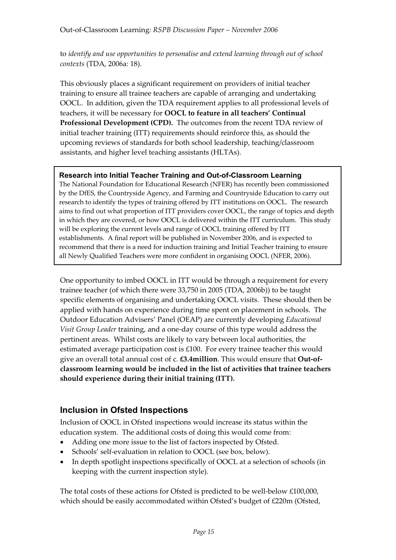to *identify and use opportunities to personalise and extend learning through out of school contexts* (TDA, 2006a: 18).

This obviously places a significant requirement on providers of initial teacher training to ensure all trainee teachers are capable of arranging and undertaking OOCL. In addition, given the TDA requirement applies to all professional levels of teachers, it will be necessary for **OOCL to feature in all teachers' Continual Professional Development (CPD).** The outcomes from the recent TDA review of initial teacher training (ITT) requirements should reinforce this, as should the upcoming reviews of standards for both school leadership, teaching/classroom assistants, and higher level teaching assistants (HLTAs).

#### **Research into Initial Teacher Training and Out-of-Classroom Learning**

The National Foundation for Educational Research (NFER) has recently been commissioned by the DfES, the Countryside Agency, and Farming and Countryside Education to carry out research to identify the types of training offered by ITT institutions on OOCL. The research aims to find out what proportion of ITT providers cover OOCL, the range of topics and depth in which they are covered, or how OOCL is delivered within the ITT curriculum. This study will be exploring the current levels and range of OOCL training offered by ITT establishments. A final report will be published in November 2006, and is expected to recommend that there is a need for induction training and Initial Teacher training to ensure all Newly Qualified Teachers were more confident in organising OOCL (NFER, 2006).

One opportunity to imbed OOCL in ITT would be through a requirement for every trainee teacher (of which there were 33,750 in 2005 (TDA, 2006b)) to be taught specific elements of organising and undertaking OOCL visits. These should then be applied with hands on experience during time spent on placement in schools. The Outdoor Education Advisers' Panel (OEAP) are currently developing *Educational Visit Group Leader* training, and a one-day course of this type would address the pertinent areas. Whilst costs are likely to vary between local authorities, the estimated average participation cost is  $£100$ . For every trainee teacher this would give an overall total annual cost of c. **£3.4million**. This would ensure that **Out-ofclassroom learning would be included in the list of activities that trainee teachers should experience during their initial training (ITT).** 

### **Inclusion in Ofsted Inspections**

Inclusion of OOCL in Ofsted inspections would increase its status within the education system. The additional costs of doing this would come from:

- Adding one more issue to the list of factors inspected by Ofsted.
- Schools' self-evaluation in relation to OOCL (see box, below).
- In depth spotlight inspections specifically of OOCL at a selection of schools (in keeping with the current inspection style).

The total costs of these actions for Ofsted is predicted to be well-below £100,000, which should be easily accommodated within Ofsted's budget of £220m (Ofsted,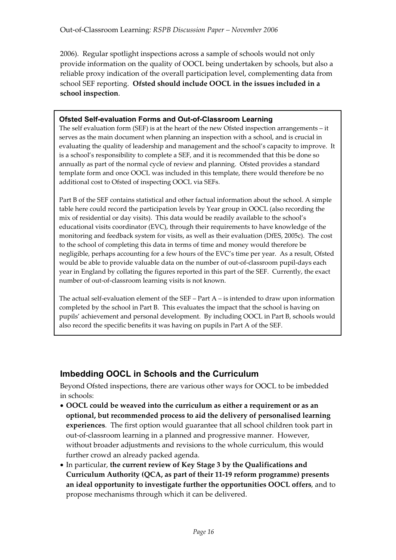2006). Regular spotlight inspections across a sample of schools would not only provide information on the quality of OOCL being undertaken by schools, but also a reliable proxy indication of the overall participation level, complementing data from school SEF reporting. **Ofsted should include OOCL in the issues included in a school inspection**.

#### **Ofsted Self-evaluation Forms and Out-of-Classroom Learning**

The self evaluation form (SEF) is at the heart of the new Ofsted inspection arrangements – it serves as the main document when planning an inspection with a school, and is crucial in evaluating the quality of leadership and management and the school's capacity to improve. It is a school's responsibility to complete a SEF, and it is recommended that this be done so annually as part of the normal cycle of review and planning. Ofsted provides a standard template form and once OOCL was included in this template, there would therefore be no additional cost to Ofsted of inspecting OOCL via SEFs.

Part B of the SEF contains statistical and other factual information about the school. A simple table here could record the participation levels by Year group in OOCL (also recording the mix of residential or day visits). This data would be readily available to the school's educational visits coordinator (EVC), through their requirements to have knowledge of the monitoring and feedback system for visits, as well as their evaluation (DfES, 2005c). The cost to the school of completing this data in terms of time and money would therefore be negligible, perhaps accounting for a few hours of the EVC's time per year. As a result, Ofsted would be able to provide valuable data on the number of out-of-classroom pupil-days each year in England by collating the figures reported in this part of the SEF. Currently, the exact number of out-of-classroom learning visits is not known.

The actual self-evaluation element of the SEF – Part  $A$  – is intended to draw upon information completed by the school in Part B. This evaluates the impact that the school is having on pupils' achievement and personal development. By including OOCL in Part B, schools would also record the specific benefits it was having on pupils in Part A of the SEF.

## **Imbedding OOCL in Schools and the Curriculum**

Beyond Ofsted inspections, there are various other ways for OOCL to be imbedded in schools:

- x**OOCL could be weaved into the curriculum as either a requirement or as an optional, but recommended process to aid the delivery of personalised learning experiences**. The first option would guarantee that all school children took part in out-of-classroom learning in a planned and progressive manner. However, without broader adjustments and revisions to the whole curriculum, this would further crowd an already packed agenda.
- In particular, the current review of Key Stage 3 by the Qualifications and **Curriculum Authority (QCA, as part of their 11-19 reform programme) presents an ideal opportunity to investigate further the opportunities OOCL offers**, and to propose mechanisms through which it can be delivered.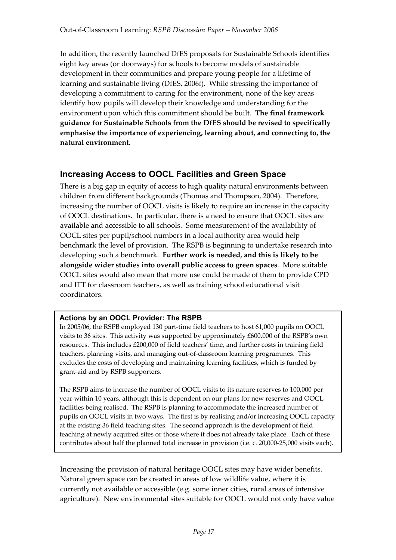In addition, the recently launched DfES proposals for Sustainable Schools identifies eight key areas (or doorways) for schools to become models of sustainable development in their communities and prepare young people for a lifetime of learning and sustainable living (DfES, 2006f). While stressing the importance of developing a commitment to caring for the environment, none of the key areas identify how pupils will develop their knowledge and understanding for the environment upon which this commitment should be built. **The final framework guidance for Sustainable Schools from the DfES should be revised to specifically emphasise the importance of experiencing, learning about, and connecting to, the natural environment.**

## **Increasing Access to OOCL Facilities and Green Space**

There is a big gap in equity of access to high quality natural environments between children from different backgrounds (Thomas and Thompson, 2004). Therefore, increasing the number of OOCL visits is likely to require an increase in the capacity of OOCL destinations. In particular, there is a need to ensure that OOCL sites are available and accessible to all schools. Some measurement of the availability of OOCL sites per pupil/school numbers in a local authority area would help benchmark the level of provision. The RSPB is beginning to undertake research into developing such a benchmark. **Further work is needed, and this is likely to be alongside wider studies into overall public access to green spaces**. More suitable OOCL sites would also mean that more use could be made of them to provide CPD and ITT for classroom teachers, as well as training school educational visit coordinators.

#### **Actions by an OOCL Provider: The RSPB**

In 2005/06, the RSPB employed 130 part-time field teachers to host 61,000 pupils on OOCL visits to 36 sites. This activity was supported by approximately £600,000 of the RSPB's own resources. This includes £200,000 of field teachers' time, and further costs in training field teachers, planning visits, and managing out-of-classroom learning programmes. This excludes the costs of developing and maintaining learning facilities, which is funded by grant-aid and by RSPB supporters.

The RSPB aims to increase the number of OOCL visits to its nature reserves to 100,000 per year within 10 years, although this is dependent on our plans for new reserves and OOCL facilities being realised. The RSPB is planning to accommodate the increased number of pupils on OOCL visits in two ways. The first is by realising and/or increasing OOCL capacity at the existing 36 field teaching sites. The second approach is the development of field teaching at newly acquired sites or those where it does not already take place. Each of these contributes about half the planned total increase in provision (i.e. c. 20,000-25,000 visits each).

Increasing the provision of natural heritage OOCL sites may have wider benefits. Natural green space can be created in areas of low wildlife value, where it is currently not available or accessible (e.g. some inner cities, rural areas of intensive agriculture). New environmental sites suitable for OOCL would not only have value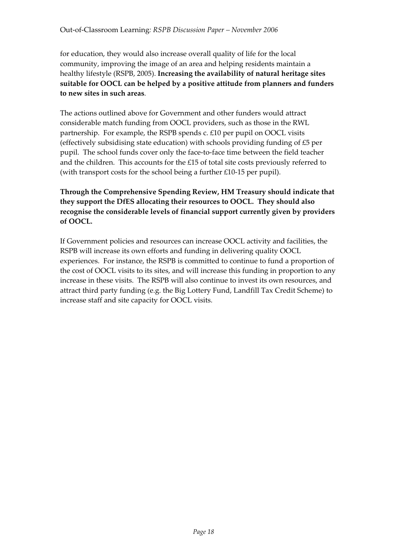for education, they would also increase overall quality of life for the local community, improving the image of an area and helping residents maintain a healthy lifestyle (RSPB, 2005). **Increasing the availability of natural heritage sites suitable for OOCL can be helped by a positive attitude from planners and funders to new sites in such areas**.

The actions outlined above for Government and other funders would attract considerable match funding from OOCL providers, such as those in the RWL partnership. For example, the RSPB spends c. £10 per pupil on OOCL visits (effectively subsidising state education) with schools providing funding of £5 per pupil. The school funds cover only the face-to-face time between the field teacher and the children. This accounts for the  $£15$  of total site costs previously referred to (with transport costs for the school being a further £10-15 per pupil).

#### **Through the Comprehensive Spending Review, HM Treasury should indicate that they support the DfES allocating their resources to OOCL. They should also recognise the considerable levels of financial support currently given by providers of OOCL.**

If Government policies and resources can increase OOCL activity and facilities, the RSPB will increase its own efforts and funding in delivering quality OOCL experiences. For instance, the RSPB is committed to continue to fund a proportion of the cost of OOCL visits to its sites, and will increase this funding in proportion to any increase in these visits. The RSPB will also continue to invest its own resources, and attract third party funding (e.g. the Big Lottery Fund, Landfill Tax Credit Scheme) to increase staff and site capacity for OOCL visits.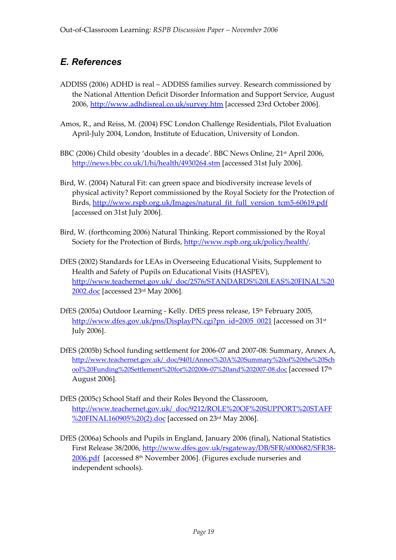# *E. References*

- ADDISS (2006) ADHD is real ADDISS families survey. Research commissioned by the National Attention Deficit Disorder Information and Support Service, August 2006, http://www.adhdisreal.co.uk/survey.htm [accessed 23rd October 2006].
- Amos, R., and Reiss, M. (2004) FSC London Challenge Residentials, Pilot Evaluation April-July 2004, London, Institute of Education, University of London.
- BBC (2006) Child obesity 'doubles in a decade'. BBC News Online, 21<sup>st</sup> April 2006, http://news.bbc.co.uk/1/hi/health/4930264.stm [accessed 31st July 2006].
- Bird, W. (2004) Natural Fit: can green space and biodiversity increase levels of physical activity? Report commissioned by the Royal Society for the Protection of Birds, http://www.rspb.org.uk/Images/natural\_fit\_full\_version\_tcm5-60619.pdf [accessed on 31st July 2006].
- Bird, W. (forthcoming 2006) Natural Thinking. Report commissioned by the Royal Society for the Protection of Birds, http://www.rspb.org.uk/policy/health/.
- DfES (2002) Standards for LEAs in Overseeing Educational Visits, Supplement to Health and Safety of Pupils on Educational Visits (HASPEV), http://www.teachernet.gov.uk/\_doc/2576/STANDARDS%20LEAS%20FINAL%20 2002.doc [accessed 23rd May 2006].
- DfES (2005a) Outdoor Learning Kelly. DfES press release, 15th February 2005, http://www.dfes.gov.uk/pns/DisplayPN.cgi?pn\_id=2005\_0021 [accessed on 31<sup>st</sup>] July 2006].
- DfES (2005b) School funding settlement for 2006-07 and 2007-08: Summary, Annex A, http://www.teachernet.gov.uk/\_doc/9401/Annex%20A%20Summary%20of%20the%20Sch ool%20Funding%20Settlement%20for%202006-07%20and%202007-08.doc [accessed 17th August 2006].
- DfES (2005c) School Staff and their Roles Beyond the Classroom, http://www.teachernet.gov.uk/\_doc/9212/ROLE%20OF%20SUPPORT%20STAFF %20FINAL160905%20(2).doc [accessed on 23<sup>rd</sup> May 2006].
- DfES (2006a) Schools and Pupils in England, January 2006 (final), National Statistics First Release 38/2006, http://www.dfes.gov.uk/rsgateway/DB/SFR/s000682/SFR38- 2006.pdf [accessed 8th November 2006]. (Figures exclude nurseries and independent schools).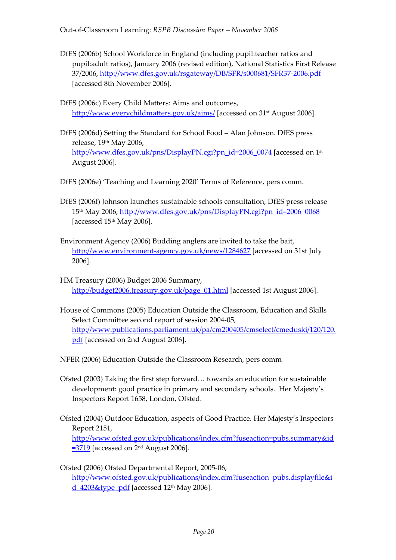- DfES (2006b) School Workforce in England (including pupil:teacher ratios and pupil:adult ratios), January 2006 (revised edition), National Statistics First Release 37/2006, http://www.dfes.gov.uk/rsgateway/DB/SFR/s000681/SFR37-2006.pdf [accessed 8th November 2006].
- DfES (2006c) Every Child Matters: Aims and outcomes, http://www.everychildmatters.gov.uk/aims/ [accessed on 31<sup>st</sup> August 2006].
- DfES (2006d) Setting the Standard for School Food Alan Johnson. DfES press release, 19th May 2006, http://www.dfes.gov.uk/pns/DisplayPN.cgi?pn\_id=2006\_0074 [accessed on 1<sup>st</sup>] August 2006].
- DfES (2006e) 'Teaching and Learning 2020' Terms of Reference, pers comm.
- DfES (2006f) Johnson launches sustainable schools consultation, DfES press release 15th May 2006, http://www.dfes.gov.uk/pns/DisplayPN.cgi?pn\_id=2006\_0068 [accessed  $15<sup>th</sup>$  May 2006].
- Environment Agency (2006) Budding anglers are invited to take the bait, http://www.environment-agency.gov.uk/news/1284627 [accessed on 31st July 2006].
- HM Treasury (2006) Budget 2006 Summary, http://budget2006.treasury.gov.uk/page\_01.html [accessed 1st August 2006].
- House of Commons (2005) Education Outside the Classroom, Education and Skills Select Committee second report of session 2004-05, http://www.publications.parliament.uk/pa/cm200405/cmselect/cmeduski/120/120. pdf [accessed on 2nd August 2006].

NFER (2006) Education Outside the Classroom Research, pers comm

- Ofsted (2003) Taking the first step forward… towards an education for sustainable development: good practice in primary and secondary schools. Her Majesty's Inspectors Report 1658, London, Ofsted.
- Ofsted (2004) Outdoor Education, aspects of Good Practice. Her Majesty's Inspectors Report 2151,

http://www.ofsted.gov.uk/publications/index.cfm?fuseaction=pubs.summary&id  $=$  3719 [accessed on  $2<sup>nd</sup>$  August 2006].

Ofsted (2006) Ofsted Departmental Report, 2005-06, http://www.ofsted.gov.uk/publications/index.cfm?fuseaction=pubs.displayfile&i  $d=4203$ &type=pdf [accessed 12<sup>th</sup> May 2006].